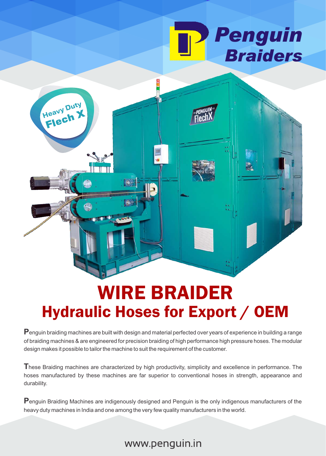



# WIRE BRAIDER Hydraulic Hoses for Export / OEM

**P**enguin braiding machines are built with design and material perfected over years of experience in building a range of braiding machines & are engineered for precision braiding of high performance high pressure hoses. The modular design makes it possible to tailor the machine to suit the requirement of the customer.

**T**hese Braiding machines are characterized by high productivity, simplicity and excellence in performance. The hoses manufactured by these machines are far superior to conventional hoses in strength, appearance and durability.

**P**enguin Braiding Machines are indigenously designed and Penguin is the only indigenous manufacturers of the heavy duty machines in India and one among the very few quality manufacturers in the world.

#### www.penguin.in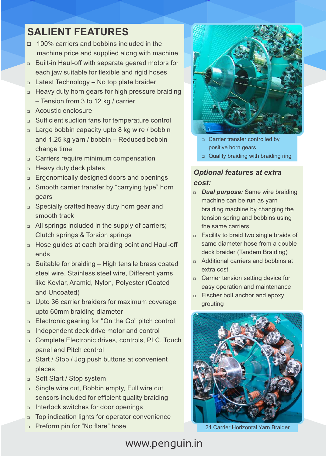### **SALIENT FEATURES**

- □ 100% carriers and bobbins included in the machine price and supplied along with machine
- □ Built-in Haul-off with separate geared motors for each jaw suitable for flexible and rigid hoses
- □ Latest Technology No top plate braider
- □ Heavy duty horn gears for high pressure braiding – Tension from 3 to 12 kg / carrier
- **Q** Acoustic enclosure
- Sufficient suction fans for temperature control
- □ Large bobbin capacity upto 8 kg wire / bobbin and 1.25 kg yarn / bobbin – Reduced bobbin change time
- **Carriers require minimum compensation**
- **B** Heavy duty deck plates
- **Ergonomically designed doors and openings**
- □ Smooth carrier transfer by "carrying type" horn gears
- □ Specially crafted heavy duty horn gear and smooth track
- a All springs included in the supply of carriers; Clutch springs & Torsion springs
- D Hose guides at each braiding point and Haul-off ends
- $\Box$  Suitable for braiding High tensile brass coated steel wire, Stainless steel wire, Different yarns like Kevlar, Aramid, Nylon, Polyester (Coated and Uncoated)
- □ Upto 36 carrier braiders for maximum coverage upto 60mm braiding diameter
- □ Electronic gearing for "On the Go" pitch control
- Independent deck drive motor and control
- n Complete Electronic drives, controls, PLC, Touch panel and Pitch control
- □ Start / Stop / Jog push buttons at convenient places
- □ Soft Start / Stop system
- □ Single wire cut, Bobbin empty, Full wire cut sensors included for efficient quality braiding
- o Interlock switches for door openings
- □ Top indication lights for operator convenience
- Preform pin for "No flare" hose



- Carrier transfer controlled by positive horn gears
- Quality braiding with braiding ring

#### *Optional features at extra cost:*

- *Dual purpose:* Same wire braiding machine can be run as yarn braiding machine by changing the tension spring and bobbins using the same carriers
- □ Facility to braid two single braids of same diameter hose from a double deck braider (Tandem Braiding)
- Additional carriers and bobbins at extra cost
- **Carrier tension setting device for** easy operation and maintenance
- Fischer bolt anchor and epoxy grouting



24 Carrier Horizontal Yarn Braider

### www.penguin.in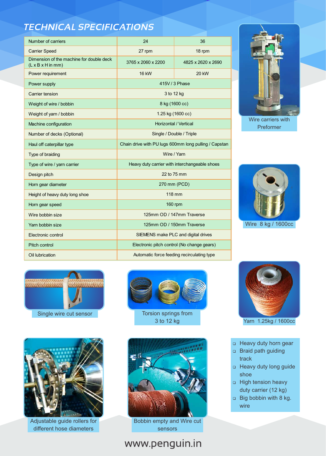### *TECHNICAL SPECIFICATIONS*

| Number of carriers                                                                | 24                                                    | 36                 |
|-----------------------------------------------------------------------------------|-------------------------------------------------------|--------------------|
| <b>Carrier Speed</b>                                                              | 27 rpm                                                | 18 rpm             |
| Dimension of the machine for double deck<br>$(L \times B \times H \text{ in mm})$ | 3765 x 2060 x 2200                                    | 4825 x 2620 x 2690 |
| Power requirement                                                                 | <b>16 kW</b>                                          | 20 kW              |
| Power supply                                                                      | 415V / 3 Phase                                        |                    |
| Carrier tension                                                                   | 3 to 12 kg                                            |                    |
| Weight of wire / bobbin                                                           | 8 kg (1600 cc)                                        |                    |
| Weight of yarn / bobbin                                                           | 1.25 kg (1600 cc)                                     |                    |
| Machine configuration                                                             | <b>Horizontal / Vertical</b>                          |                    |
| Number of decks (Optional)                                                        | Single / Double / Triple                              |                    |
| Haul off caterpillar type                                                         | Chain drive with PU lugs 600mm long pulling / Capstan |                    |
| Type of braiding                                                                  | Wire / Yarn                                           |                    |
| Type of wire / yarn carrier                                                       | Heavy duty carrier with interchangeable shoes         |                    |
| Design pitch                                                                      | 22 to 75 mm                                           |                    |
| Horn gear diameter                                                                | 270 mm (PCD)                                          |                    |
| Height of heavy duty long shoe                                                    | <b>118 mm</b>                                         |                    |
| Horn gear speed                                                                   | 160 rpm                                               |                    |
| Wire bobbin size                                                                  | 125mm OD / 147mm Traverse                             |                    |
| Yarn bobbin size                                                                  | 125mm OD / 150mm Traverse                             |                    |
| Electronic control                                                                | SIEMENS make PLC and digital drives                   |                    |
| <b>Pitch control</b>                                                              | Electronic pitch control (No change gears)            |                    |
| Oil lubrication                                                                   | Automatic force feeding recirculating type            |                    |



Wire carriers with Preformer



Wire 8 kg / 1600cc





3 to 12 kg



Adjustable guide rollers for different hose diameters



Bobbin empty and Wire cut sensors

## www.penguin.in



Yarn 1.25kg / 1600cc

- Heavy duty horn gear
- Braid path guiding track
- Heavy duty long guide shoe
- High tension heavy duty carrier (12 kg)
- Big bobbin with 8 kg. wire